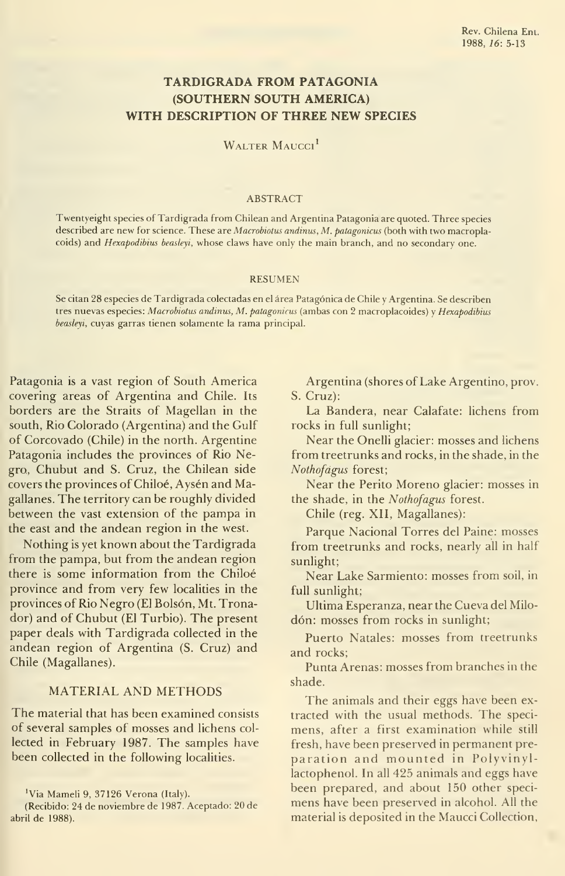# TARDIGRADA FROM PATAGONÍA (SOUTHERN SOUTH AMERICA) WITH DESCRIPTION OF THREE NEW SPECIES

WALTER MAUCCI<sup>I</sup>

#### ABSTRACT

Twentyeight species of Tardigrada from Chilean and Argentina Patagonia are quoted. Three species described are new for science. These are Macrobiotus andinus, M. patagonicus (both with two macroplacoids) and Hexapodibius beasleyi, whose claws have only the main branch, and no secondary one.

#### RESUMEN

Se citan 28 especies de Tardigrada colectadas en el área Patagónica de Chile <sup>y</sup> Argentina. Se describen tres nuevas especies: Macrobiotus andinus, M. patagonicus (ambas con 2 macroplacoides) y Hexapodibius beasleyi, cuyas garras tienen solamente la rama principal.

Patagonia is a vast region of South America covering áreas of Argentina and Chile. Its borders are the Straits of Magellan in the south, Rio Colorado (Argentina) and the Gulf of Corcovado (Chile) in the north. Argentine Patagonia includes the provinces of Rio Negro, Chubut and S. Cruz, the Chilean side covers the provinces of Chiloé, Aysén and Magallanes. The territory can be roughly divided between the vast extension of the pampa in the east and the andean region in the west.

Nothing is yet known about the Tardigrada from the pampa, but from the andean region there is some information from the Chiloé province and from very few localities in the provinces of Rio Negro (El Bolsón, Mt. Tronador) and of Chubut (El Turbio). The present paper deals with Tardigrada collected in the andean región of Argentina (S. Cruz) and Chile (Magallanes).

# MATERIAL AND METHODS

The material that has been examined consists of several samples of mosses and lichens col lected in February 1987. The samples have been collected in the following localities.

Argentina (shores of Lake Argentino, prov. S. Cruz):

La Bandera, near Calafate: lichens from rocks in full sunlight;

Near the Onelli glacier: mosses and lichens from treetrunks and rocks, in the shade, in the Nothofágus forest;

Near the Perito Moreno glacier: mosses in the shade, in the Nothofagus forest.

Chile (reg. XII, Magallanes):

Parque Nacional Torres del Paine: mosses from treetrunks and rocks, nearly all in half sunlight;

Near Lake Sarmiento: mosses from soil, in full sunlight;

Ultima Esperanza, near the Cueva del Milodón: mosses from rocks in sunlight;

Puerto Natales: mosses from treetrunks and rocks;

Punta Arenas: mosses from branches in the shade.

The animals and their eggs have been extracted with the usual methods. The specimens, after a first examination while still fresh, have been preserved in permanent pre paration and mounted in Polyvinyllactophenol. In all 425 animals and eggs have been prepared, and about 150 other speci mens have been preserved in alcohol. All the material is deposited in the Maucci Collection,

<sup>&#</sup>x27;Via Mameli 9, 37126 Verona (Italy).

<sup>(</sup>Recibido: 24 de noviembre de 1987. Aceptado: 20 de abril de 1988).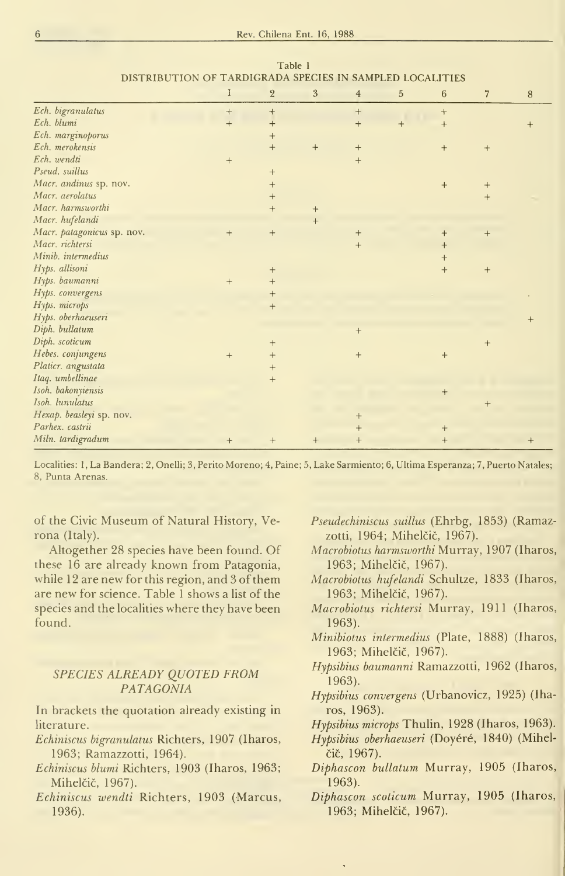|                            | I   | $\sqrt{2}$      | $\mathfrak{z}$ | $\overline{4}$ | $\overline{5}$ | $\,6\,$ | $\overline{7}$ | $\, 8$ |
|----------------------------|-----|-----------------|----------------|----------------|----------------|---------|----------------|--------|
| Ech. bigranulatus          | $+$ | $+$             |                | $^{+}$         |                | $+$     |                |        |
| Ech. blumi                 | $+$ | $^{+}$          |                | $+$            | $+$            | $+$     |                | $+$    |
| Ech. marginoporus          |     | $+$             |                |                |                |         |                |        |
| Ech. merokensis            |     | $+$             | $+$            | $+$            |                | $+$     | $^{+}$         |        |
| Ech. wendti                | $+$ |                 |                | $+$            |                |         |                |        |
| Pseud. suillus             |     | $+$             |                |                |                |         |                |        |
| Macr. andinus sp. nov.     |     | $^{+}$          |                |                |                | $+$     | $^{+}$         |        |
| Macr. aerolatus            |     | $+$             |                |                |                |         | $\overline{+}$ |        |
| Macr. harmsworthi          |     | $+$             | $^{+}$         |                |                |         |                |        |
| Macr. hufelandi            |     |                 | $+$            |                |                |         |                |        |
| Macr. patagonicus sp. nov. | $+$ | $+$             |                | $+$            |                | $+$     | $+$            |        |
| Macr. richtersi            |     |                 |                | $+$            |                | $^{+}$  |                |        |
| Minib. intermedius         |     |                 |                |                |                | $^{+}$  |                |        |
| Hyps. allisoni             |     | $^{+}$          |                |                |                | $+$     | $+$            |        |
| Hyps. baumanni             | $+$ | $\ddot{}$       |                |                |                |         |                |        |
| Hyps. convergens           |     | $^{+}$          |                |                |                |         |                |        |
| Hyps. microps              |     | $^{\mathrm{+}}$ |                |                |                |         |                |        |
| Hyps. oberhaeuseri         |     |                 |                |                |                |         |                |        |
| Diph. bullatum             |     |                 |                | $^{+}$         |                |         |                |        |
| Diph. scoticum             |     | $+$             |                |                |                |         | $+$            |        |
| Hebes. conjungens          | $+$ | $\overline{+}$  |                | $^{+}$         |                | $^{+}$  |                |        |
| Platicr. angustata         |     | $\overline{+}$  |                |                |                |         |                |        |
| Itaq. umbellinae           |     | $+$             |                |                |                |         |                |        |
| Isoh. bakonyiensis         |     |                 |                |                |                | $^{+}$  |                |        |
| Isoh. lunulatus            |     |                 |                |                |                |         | $+$            |        |
| Hexap. beasleyi sp. nov.   |     |                 |                | $^{+}$         |                |         |                |        |
| Parhex. castrii            |     |                 |                | $+$            |                | $^{+}$  |                |        |
| Miln. tardigradum          | $+$ | $+$             | $+$            | $+$            |                | $^{+}$  |                |        |

Table <sup>1</sup> DISTRIBUTION OF TARDIGRADA SPECIES IN SAMPLED LOCALITIES

Localities: <sup>1</sup>, La Bandera; 2, Onelli; 3, Perito Moreno; 4, Paine; 5, Lake Sarmiento; 6, Ultima Esperanza; 7, Puerto Natales; 8, Punta Arenas.

of the Civic Museum of Natural History, Ve rona (Italy).

Altogether 28 species have been found. Of these 16 are already known from Patagonia, while 12 are new for this region, and 3 of them are new for science. Table <sup>1</sup> shows a list of the species and the localities where they have been found.

# SPECIES ALREADY QUOTED FROM PATAGONIA

In brackets the quotation already existing in literature.

- Echiniscus bigranulatus Richters, 1907 (Iharos, 1963; Ramazzotti, 1964).
- Echiniscus blumi Richters, 1903 (Iharos, 1963; Mihelčič, 1967).
- Echiniscus wendti Richters, 1903 (Marcus, 1936).
- Pseudechiniscus suillus (Ehrbg, 1853) (Ramazzotti, 1964; Mihelčič, 1967).
- Macrobiotus harmsworthi Murray, 1907 (Iharos, 1963; Mihelčič, 1967).
- Macrobiotus hufelandi Schultze, 1833 (Iharos, 1963; Mihelčič, 1967).
- Macrobiotus richtersi Murray, 1911 (Iharos, 1963).
- Minibiotus intermedius (Plate, 1888) (Iharos, 1963; Mihelčič, 1967).
- Hypsibius baumanni Ramazzotti, 1962 (Iharos, 1963).
- Hypsibius convergens (Urbanovicz, 1925) (Iharos, 1963).
- Hypsibius microps Thulin, 1928 (Iharos, 1963).
- Hypsibius oberhaeuseri (Doyéré, 1840) (Mihelcic, 1967).
- Diphascon bullatum Murray, 1905 (Iharos, 1963).
- Diphascon scoticum Murray, 1905 (Iharos, 1963; Mihelčič, 1967).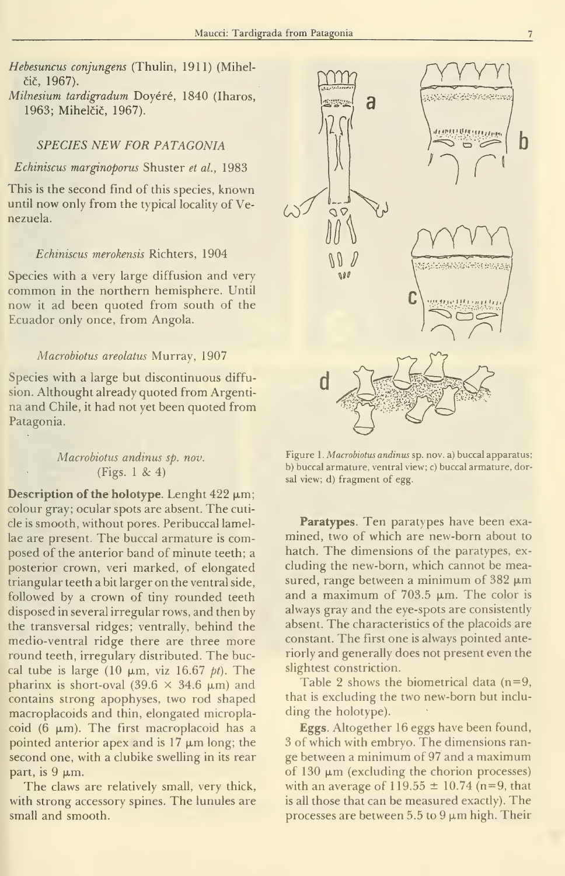Hebesuncus conjungens (Thulin, 1911) (Mihelcic, 1967).

Milnesium tardigradum Doyéré, 1840 (Iharos, 1963; Mihelčič, 1967).

### SPECIES NEW FOR PATAGONIA

### Echiniscus marginoporus Shuster et al., 1983

This is the second find of this species, known until now only from the typical locality of Venezuela.

#### Echiniscus merokensis Richters, 1904

Species with a very large diffusion and very common in the northern hemisphere. Until now it ad been quoted from south of the Ecuador only once, from Angola.

#### Macrobiotus areolatus Murray, 1907

Species with a large but discontinuous diffusion. Althought already quoted from Argenti na and Chile, it had not yet been quoted from Patagonia.

# Macrobiotus andinus sp. nov. (Figs. <sup>1</sup> & 4)

Description of the holotype. Lenght  $422 \mu m$ ; colour gray; ocular spots are absent. The cuticle is smooth, without pores. Peribuccal lamellae are present. The buccal armature is composed of the anterior band of minute teeth; a posterior crown, veri marked, of elongated triangular teeth a bit larger on the ventral side, followed by a crown of tiny rounded teeth disposed in several irregular rows, and then by the transversal ridges; ventrally, behind the medio-ventral ridge there are three more round teeth, irregulary distributed. The buccal tube is large (10  $\mu$ m, viz 16.67 *pt*). The pharinx is short-oval (39.6  $\times$  34.6  $\mu$ m) and contains strong apophyses, two rod shaped macroplacoids and thin, elongated microplacoid (6  $\mu$ m). The first macroplacoid has a pointed anterior apex and is  $17 \mu m$  long; the second one, with a clubike swelling in its rear part, is  $9 \mu m$ .

The claws are relatively small, very thick, with strong accessory spines. The lunules are small and smooth.



Figure 1. Macrobiotus andinus sp. nov. a) buccal apparatus; b) buccal armature, ventral view; c) buccal armature, dorsal view; d) fragment of egg.

Paratypes. Ten paratypes have been exa mined, two of which are new-born about to hatch. The dimensions of the paratypes, ex cluding the new-born, which cannot be measured, range between a minimum of  $382 \mu m$ and a maximum of 703.5  $\mu$ m. The color is always gray and the eye-spots are consistently absent. The characteristics of the placoids are constant. The first one is always pointed anteriorly and generally does not present even the slightest constriction.

Table 2 shows the biometrical data  $(n=9, 1)$ that is excluding the two new-born but inclu ding the holotype).

Eggs. Altogether 16 eggs have been found, 3 of which with embryo. The dimensions ran ge between a minimum of 97 and a maximum of  $130 \mu m$  (excluding the chorion processes) with an average of  $119.55 \pm 10.74$  (n=9, that is all those that can be measured exactly). The processes are between 5.5 to  $9 \mu m$  high. Their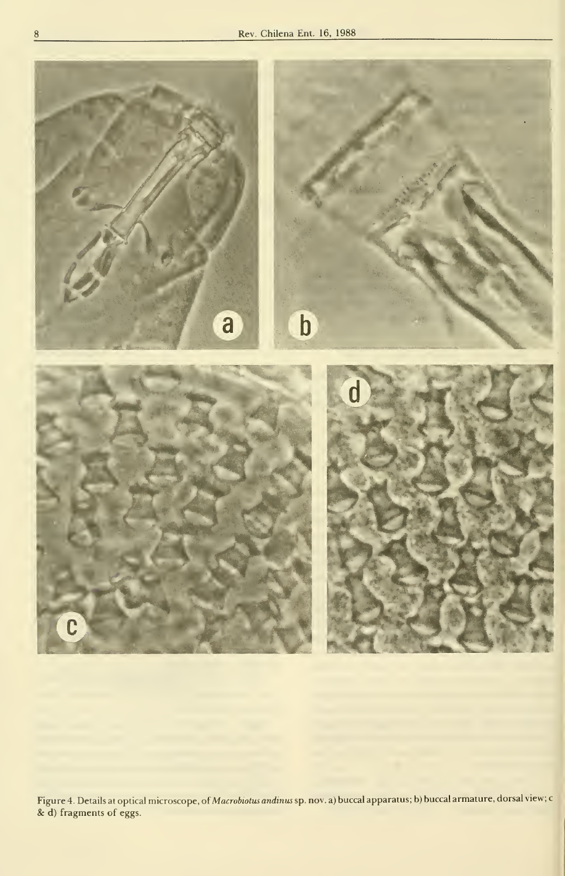

Figure 4. Details at optical microscope, of *Macrobiotus andinus* sp. nov. a) buccal apparatus; b) buccal armature, dorsal view; c &: d) fragments of eggs.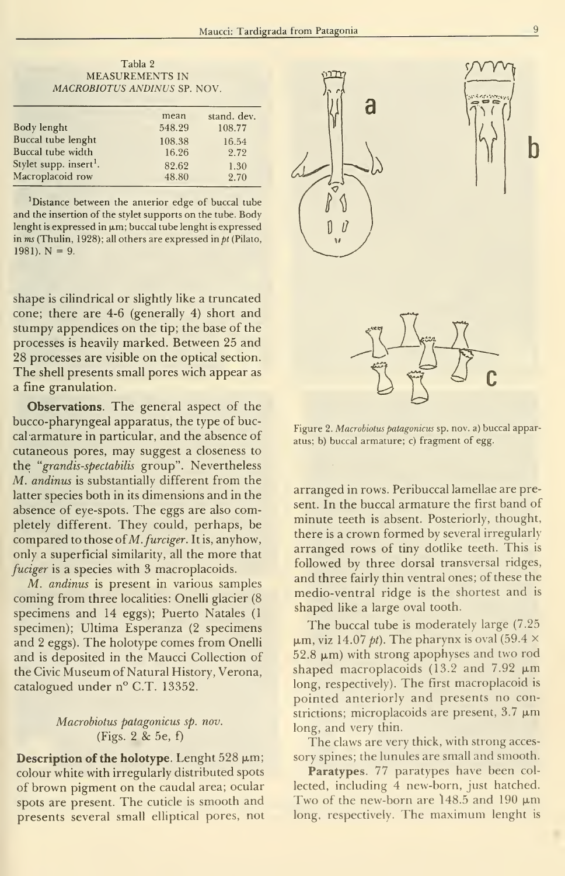Tabla 2 MEASUREMENTS IN MACROBIOTUS ANDINUS SP. NOV.

|                                    | mean   | stand. dev. |  |  |  |
|------------------------------------|--------|-------------|--|--|--|
| Body lenght                        | 548.29 | 108.77      |  |  |  |
| Buccal tube lenght                 | 108.38 | 16.54       |  |  |  |
| Buccal tube width                  | 16.26  | 2.72        |  |  |  |
| Stylet supp. insert <sup>1</sup> . | 82.62  | 1.30        |  |  |  |
| Macroplacoid row                   | 48.80  | 2.70        |  |  |  |
|                                    |        |             |  |  |  |

'Distance between the anterior edge of buccal tube and the insertion of the stylet supports on the tube. Body lenght is expressed in  $\mu$ m; buccal tube lenght is expressed in  $ms$  (Thulin, 1928); all others are expressed in  $pt$  (Pilato, 1981).  $N = 9$ .

shape is cilindrical or slightly like a truncated cone; there are 4-6 (generally 4) short and stumpy appendices on the tip; the base of the processes is heavily marked. Between 25 and 28 processes are visible on the optical section. The shell presents small pores wich appear as a fine granulation.

Observations. The general aspect of the bucco-pharyngeal apparatus, the type of buccal armature in particular, and the absence of cutaneous pores, may suggest a closeness to the "grandis-spectabüis group". Nevertheless  $M.$  andinus is substantially different from the latter species both in its dimensions and in the absence of eye-spots. The eggs are also completely different. They could, perhaps, be compared to those of  $M.$  furciger. It is, anyhow, only a superficial similarity, all the more that fuciger is a species with 3 macroplacoids.

M. andinus is present in various samples coming from three localities: Onelli glacier (8 specimens and 14 eggs); Puerto Natales (1 specimen); Ultima Esperanza (2 specimens and 2 eggs). The holotype comes from Onelli and is deposited in the Maucci Collection of the Civic Museum of Natural History, Verona, catalogued under n° C.T. 13352.

### Macrobiotus patagonicus sp. nov. (Figs. <sup>2</sup> & 5e, f)

Description of the holotype. Lenght  $528 \mu m$ ; colour white with irregularly distributed spots of brown pigment on the caudal área; ocular spots are present. The cuticle is smooth and presents several small elliptical pores, not





atus; b) buccal armature; c) fragment of egg.

arranged in rows. Peribuccal lamellae are present. In the buccal armature the first band of minute teeth is absent. Posteriorly, thought, there is a crown formed by several irregularly arranged rows of tiny dotlike teeth. This is foliowed by three dorsal transversal ridges, and three fairly thin ventral ones; of these the medio-ventral ridge is the shortest and isshaped like a large oval tooth.

The buccal tube is moderately large (7.25  $\mu$ m, viz 14.07 *pt*). The pharynx is oval (59.4  $\times$  $52.8 \mu m$ ) with strong apophyses and two rod shaped macroplacoids (13.2 and  $7.92 \mu m$ long, respectively). The first macroplacoid is pointed anteriorly and presents no constrictions; microplacoids are present,  $3.7 \mu m$ long, and very thin.

The claws are very thick, with strong acces sory spines; the lunules are small and smooth.

Paratypes. 77 paratypes have been collected, including 4 new-born, just hatched. Two of the new-born are 148.5 and 190  $\mu$ m long, respectively. The maximum lenght is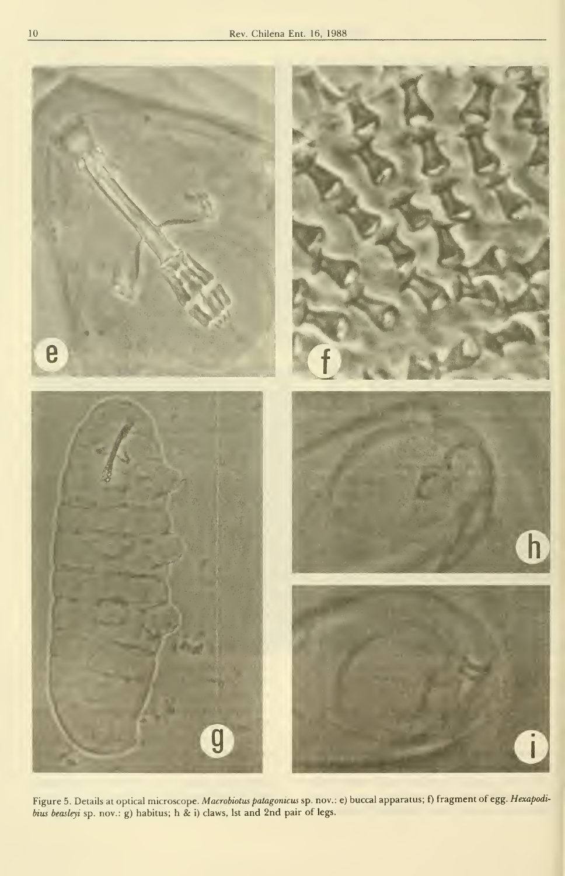

Figure 5. Details at optical microscope. *Macrobiotus patagonicus* sp. nov.: e) buccal apparatus; f) fragment of egg. *Hexapodi*bius beasleyi sp. nov.: g) habitus; h & i) claws, Ist and 2nd pair of legs.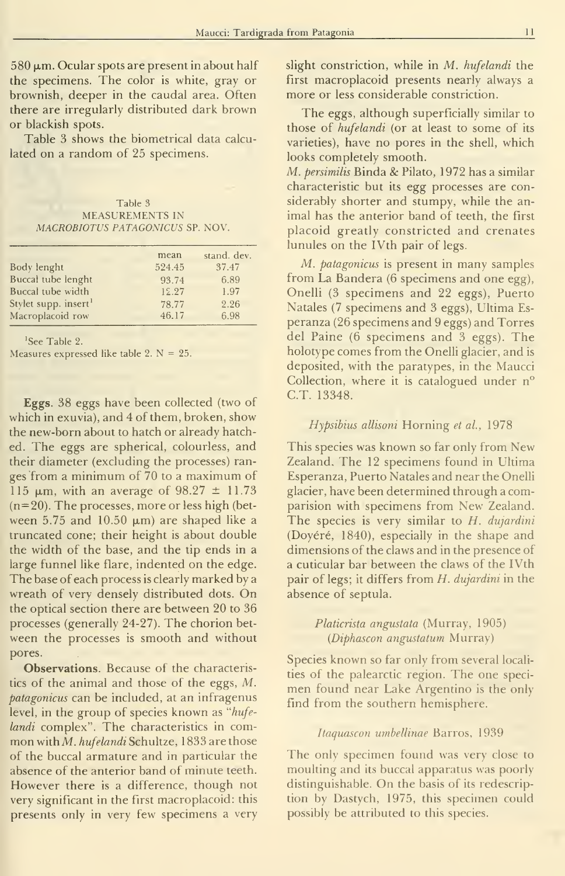$580 \,\mu m$ . Ocular spots are present in about half the specimens. The color is white, gray or brownish, deeper in the caudal area. Often there are irregularly distributed dark brown or blackish spots.

Table 3 shows the biometrical data calcu lated on a random of 25 specimens.

Table 3 MEASUREMENTS IN MACROBIOTUS PATAGONICUS SP. NOV.

|                                  | mean   | stand. dev. |
|----------------------------------|--------|-------------|
| Body lenght                      | 524.45 | 37.47       |
| Buccal tube lenght               | 93.74  | 6.89        |
| Buccal tube width                | 12.27  | 1.97        |
| Stylet supp. insert <sup>1</sup> | 78.77  | 2.26        |
| Macroplacoid row                 | 46.17  | 6.98        |
|                                  |        |             |

'See Table 2.

Measures expressed like table 2.  $N = 25$ .

Eggs. 38 eggs have been collected (two of which in exuvia), and 4 of them, broken, show the new-born about to hatch or already hatched. The eggs are spherical, colourless, and their diameter (excluding the processes) ran ges from a minimum of 70 to a maximum of 115  $\mu$ m, with an average of 98.27  $\pm$  11.73  $(n=20)$ . The processes, more or less high (between 5.75 and 10.50  $\mu$ m) are shaped like a truncated cone; their height is about double the width of the base, and the tip ends in a large funnel like flare, indented on the edge. The base of each process is clearly marked by a wreath of very densely distributed dots. On the optical section there are between 20 to 36 processes (generally 24-27). The chorion bet ween the processes is smooth and without pores.

Observations. Because of the characteristics of the animal and those of the eggs, M. patagonicus can be included, at an infragenus level, in the group of species known as ''hufe landi complex". The characteristics in common with M. hufelandi Schultze, 1833 are those of the buccal armature and in particular the absence of the anterior band of minute teeth. However there is a difference, though not very significant in the first macroplacoid: this presents only in very few specimens a very slight constriction, while in M. hufelandi the first macroplacoid presents nearly always a more or less considerable constriction.

The eggs, although superficially similar to those of hufelandi (or at least to some of its varieties), have no pores in the shell, which looks completely smooth.

M. persimilis Binda &: Pilato, 1972 has a similar characteristic but its egg processes are considerably shorter and stumpy, while the an imal has the anterior band of teeth, the first placoid greatly constricted and crenates lunules on the IVth pair of legs.

M. patagonicus is present in many samples from La Bandera (6 specimens and one egg), Onelli (3 specimens and 22 eggs). Puerto Natales (7 specimens and 3 eggs). Ultima Es peranza (26 specimens and 9 eggs) and Torres del Paine (6 specimens and 3 eggs). The holotype comes from the Onelli glacier, and is deposited, with the paratypes, in the Maucci Collection, where it is catalogued under n° C.T. 13348.

### Hypsibius allisoni Horning et al., 1978

This species was known so far only from New Zealand. The 12 specimens found in Ultima Esperanza, Puerto Natales and near the Onelli glacier, have been determined through a comparision with specimens from New Zealand. The species is very similar to  $H$ . dujardini (Doyéré, 1840), especially in the shape and dimensions of the claws and in the presence of a cuticular bar between the claws of the IVth pair of legs; it differs from H. dujardini in the absence of septula.

> Platicrista angustata (Murray, 1905) (Diphascon angustatum Murray)

Species known so far only from several localities of the palearctic region. The one specimen found near Lake Argentino is the only find from the southern hemisphere.

#### Itaquascon umbellinae Barros, 1939

The only specimen found was very close to moulting and its buccal apparatus was poorly distinguishable. On the basis of its redescription by Dastych, 1975, this specimen could possibly be attributed to this species.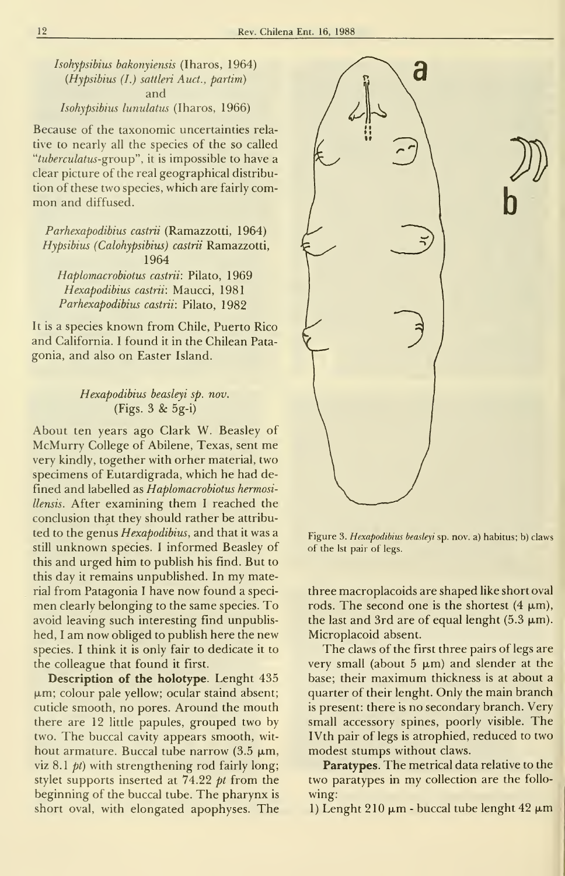Isohypsibius bakonyiensis (Iharos, 1964) (Hypsibius (I.) sattleri Auct., partim) and Isohypsibius lunulatus (Iharos, 1966)

Because of the taxonomic uncertainties relative to nearly all the species of the so called "tuberculatus-group", it is impossible to have a clear picture of the real geographical distribution of these two species, which are fairly com mon and diffused.

Parhexapodibius castrii (Ramazzotti, 1964) Hypsibius (Calohypsibius) castrii Ramazzotti, 1964

Haplomacrobiotus castrii: Pilato, 1969 Hexapodibius castrii: Maucci, 1981 Parhexapodibius castrii: Pilato, 1982

It is a species known from Chile, Puerto Rico and California. <sup>I</sup> found it in the Chilean Pata gonia, and also on Easter Island.

# Hexapodibius beasleyi sp. nov.  $(Figs. 3 \& 5g-i)$

About ten years ago Clark W. Beasley of McMurry College of Abilene, Texas, sent me very kindly, together with orher material, two specimens of Eutardigrada, which he had defined and labelled as Haplomacrobiotus hermosillensis. After examining them <sup>I</sup> reached the conclusión that they should rather be attributed to the genus Hexapodibius, and that it was a still unknown species. <sup>I</sup> informed Beasley of this and urged him to publish his find. But to this day it remains unpublished. In my material from Patagonia <sup>I</sup> have now found a specimen clearly belonging to the same species. To avoid leaving such interesting find unpublished, <sup>I</sup> am now obliged to publish here the new species. <sup>I</sup> think it is only fair to dedícate it to the colleague that found it first.

Description of the holotype. Lenght 435  $\mu$ m; colour pale yellow; ocular staind absent; cuticle smooth, no pores. Around the mouth there are 12 little papules, grouped two by two. The buccal cavity appears smooth, wit hout armature. Buccal tube narrow  $(3.5 \mu m,$ viz  $8.1$  *pt*) with strengthening rod fairly long; stylet supports inserted at  $74.22$  pt from the beginning of the buccal tube. The pharynx is short oval, with elongated apophyses. The



Figure 3. Hexapodibius beasleyi sp. nov. a) habitus; b) claws of the Ist pair of legs.

 $\mathbf{D}$ 

three macroplacoids are shaped like short oval rods. The second one is the shortest  $(4 \mu m)$ , the last and 3rd are of equal lenght (5.3  $\mu$ m). Microplacoid absent.

The claws of the first three pairs of legs are very small (about  $5 \mu m$ ) and slender at the base; their maximum thickness is at about a quarter of their lenght. Only the main branch is present: there is no secondary branch. Very small accessory spines, poorly visible. The IVth pair of legs is atrophied, reduced to two modest stumps without claws.

Paratypes. The metrical data relative to the two paratypes in my collection are the follo wing:

1) Lenght  $210 \mu m$  - buccal tube lenght  $42 \mu m$